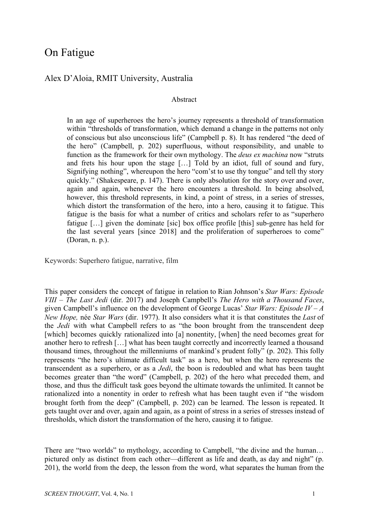# On Fatigue

## Alex D'Aloia, RMIT University, Australia

#### Abstract

In an age of superheroes the hero's journey represents a threshold of transformation within "thresholds of transformation, which demand a change in the patterns not only of conscious but also unconscious life" (Campbell p. 8). It has rendered "the deed of the hero" (Campbell, p. 202) superfluous, without responsibility, and unable to function as the framework for their own mythology. The *deus ex machina* now "struts and frets his hour upon the stage […] Told by an idiot, full of sound and fury, Signifying nothing", whereupon the hero "com'st to use thy tongue" and tell thy story quickly." (Shakespeare, p. 147). There is only absolution for the story over and over, again and again, whenever the hero encounters a threshold. In being absolved, however, this threshold represents, in kind, a point of stress, in a series of stresses, which distort the transformation of the hero, into a hero, causing it to fatigue. This fatigue is the basis for what a number of critics and scholars refer to as "superhero fatigue […] given the dominate [sic] box office profile [this] sub-genre has held for the last several years [since 2018] and the proliferation of superheroes to come" (Doran, n. p.).

Keywords: Superhero fatigue, narrative, film

This paper considers the concept of fatigue in relation to Rian Johnson's *Star Wars: Episode VIII – The Last Jedi* (dir. 2017) and Joseph Campbell's *The Hero with a Thousand Faces*, given Campbell's influence on the development of George Lucas' *Star Wars: Episode IV – A New Hope,* née *Star Wars* (dir. 1977). It also considers what it is that constitutes the *Last* of the *Jedi* with what Campbell refers to as "the boon brought from the transcendent deep [which] becomes quickly rationalized into [a] nonentity, [when] the need becomes great for another hero to refresh […] what has been taught correctly and incorrectly learned a thousand thousand times, throughout the millenniums of mankind's prudent folly" (p. 202). This folly represents "the hero's ultimate difficult task" as a hero, but when the hero represents the transcendent as a superhero, or as a *Jedi*, the boon is redoubled and what has been taught becomes greater than "the word" (Campbell, p. 202) of the hero what preceded them, and those, and thus the difficult task goes beyond the ultimate towards the unlimited. It cannot be rationalized into a nonentity in order to refresh what has been taught even if "the wisdom brought forth from the deep" (Campbell, p. 202) can be learned. The lesson is repeated. It gets taught over and over, again and again, as a point of stress in a series of stresses instead of thresholds, which distort the transformation of the hero, causing it to fatigue.

There are "two worlds" to mythology, according to Campbell, "the divine and the human... pictured only as distinct from each other—different as life and death, as day and night" (p. 201), the world from the deep, the lesson from the word, what separates the human from the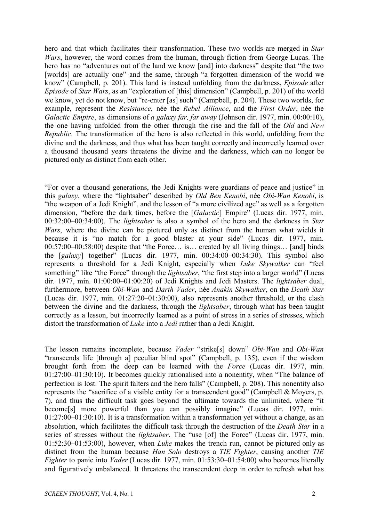hero and that which facilitates their transformation. These two worlds are merged in *Star Wars*, however, the word comes from the human, through fiction from George Lucas. The hero has no "adventures out of the land we know [and] into darkness" despite that "the two [worlds] are actually one" and the same, through "a forgotten dimension of the world we know" (Campbell, p. 201). This land is instead unfolding from the darkness, *Episode* after *Episode* of *Star Wars*, as an "exploration of [this] dimension" (Campbell, p. 201) of the world we know, yet do not know, but "re-enter [as] such" (Campbell, p. 204). These two worlds, for example, represent the *Resistance*, née the *Rebel Alliance*, and the *First Order*, née the *Galactic Empire*, as dimensions of *a galaxy far, far away* (Johnson dir. 1977, min. 00:00:10), the one having unfolded from the other through the rise and the fall of the *Old* and *New Republic*. The transformation of the hero is also reflected in this world, unfolding from the divine and the darkness, and thus what has been taught correctly and incorrectly learned over a thousand thousand years threatens the divine and the darkness, which can no longer be pictured only as distinct from each other.

"For over a thousand generations, the Jedi Knights were guardians of peace and justice" in this *galaxy*, where the "lightsaber" described by *Old Ben Kenobi*, née *Obi-Wan Kenobi*, is "the weapon of a Jedi Knight", and the lesson of "a more civilized age" as well as a forgotten dimension, "before the dark times, before the [*Galactic*] Empire" (Lucas dir. 1977, min. 00:32:00–00:34:00). The *lightsaber* is also a symbol of the hero and the darkness in *Star Wars*, where the divine can be pictured only as distinct from the human what wields it because it is "no match for a good blaster at your side" (Lucas dir. 1977, min. 00:57:00–00:58:00) despite that "the Force… is… created by all living things… [and] binds the [*galaxy*] together" (Lucas dir. 1977, min. 00:34:00–00:34:30). This symbol also represents a threshold for a Jedi Knight, especially when *Luke Skywalker* can "feel something" like "the Force" through the *lightsaber*, "the first step into a larger world" (Lucas dir. 1977, min. 01:00:00–01:00:20) of Jedi Knights and Jedi Masters. The *lightsaber* dual, furthermore, between *Obi-Wan* and *Darth Vader*, née *Anakin Skywalker*, on the *Death Star* (Lucas dir. 1977, min. 01:27:20–01:30:00), also represents another threshold, or the clash between the divine and the darkness, through the *lightsaber*, through what has been taught correctly as a lesson, but incorrectly learned as a point of stress in a series of stresses, which distort the transformation of *Luke* into a *Jedi* rather than a Jedi Knight.

The lesson remains incomplete, because *Vader* "strike[s] down" *Obi-Wan* and *Obi-Wan* "transcends life [through a] peculiar blind spot" (Campbell, p. 135), even if the wisdom brought forth from the deep can be learned with the *Force* (Lucas dir. 1977, min. 01:27:00–01:30:10). It becomes quickly rationalised into a nonentity, when "The balance of perfection is lost. The spirit falters and the hero falls" (Campbell, p. 208). This nonentity also represents the "sacrifice of a visible entity for a transcendent good" (Campbell & Moyers, p. 7), and thus the difficult task goes beyond the ultimate towards the unlimited, where "it become[s] more powerful than you can possibly imagine" (Lucas dir. 1977, min. 01:27:00–01:30:10). It is a transformation within a transformation yet without a change, as an absolution, which facilitates the difficult task through the destruction of the *Death Star* in a series of stresses without the *lightsaber*. The "use [of] the Force" (Lucas dir. 1977, min. 01:52:30–01:53:00), however, when *Luke* makes the trench run, cannot be pictured only as distinct from the human because *Han Solo* destroys a *TIE Fighter*, causing another *TIE Fighter* to panic into *Vader* (Lucas dir. 1977, min. 01:53:30–01:54:00) who becomes literally and figuratively unbalanced. It threatens the transcendent deep in order to refresh what has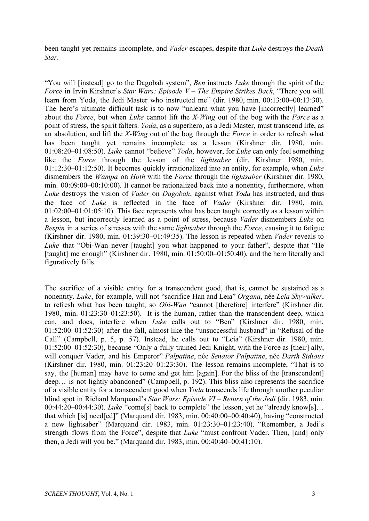been taught yet remains incomplete, and *Vader* escapes, despite that *Luke* destroys the *Death Star*.

"You will [instead] go to the Dagobah system", *Ben* instructs *Luke* through the spirit of the *Force* in Irvin Kirshner's *Star Wars: Episode V – The Empire Strikes Back*, "There you will learn from Yoda, the Jedi Master who instructed me" (dir. 1980, min. 00:13:00–00:13:30). The hero's ultimate difficult task is to now "unlearn what you have [incorrectly] learned" about the *Force*, but when *Luke* cannot lift the *X-Wing* out of the bog with the *Force* as a point of stress, the spirit falters. *Yoda*, as a superhero, as a Jedi Master, must transcend life, as an absolution, and lift the *X-Wing* out of the bog through the *Force* in order to refresh what has been taught yet remains incomplete as a lesson (Kirshner dir. 1980, min. 01:08:20–01:08:50). *Luke* cannot "believe" *Yoda*, however, for *Luke* can only feel something like the *Force* through the lesson of the *lightsaber* (dir. Kirshner 1980, min. 01:12:30–01:12:50). It becomes quickly irrationalized into an entity, for example, when *Luke* dismembers the *Wampa* on *Hoth* with the *Force* through the *lightsaber* (Kirshner dir. 1980, min. 00:09:00–00:10:00). It cannot be rationalized back into a nonentity, furthermore, when *Luke* destroys the vision of *Vader* on *Dagobah*, against what *Yoda* has instructed, and thus the face of *Luke* is reflected in the face of *Vader* (Kirshner dir. 1980, min.  $01:02:00-01:01:05:10$ . This face represents what has been taught correctly as a lesson within a lesson, but incorrectly learned as a point of stress, because *Vader* dismembers *Luke* on *Bespin* in a series of stresses with the same *lightsaber* through the *Force*, causing it to fatigue (Kirshner dir. 1980, min. 01:39:30–01:49:35). The lesson is repeated when *Vader* reveals to *Luke* that "Obi-Wan never [taught] you what happened to your father", despite that "He [taught] me enough" (Kirshner dir. 1980, min. 01:50:00–01:50:40), and the hero literally and figuratively falls.

The sacrifice of a visible entity for a transcendent good, that is, cannot be sustained as a nonentity. *Luke*, for example, will not "sacrifice Han and Leia" *Organa*, née *Leia Skywalker*, to refresh what has been taught, so *Obi-Wan* "cannot [therefore] interfere" (Kirshner dir. 1980, min. 01:23:30–01:23:50). It is the human, rather than the transcendent deep, which can, and does, interfere when *Luke* calls out to "Ben" (Kirshner dir. 1980, min. 01:52:00–01:52:30) after the fall, almost like the "unsuccessful husband" in "Refusal of the Call" (Campbell, p. 5, p. 57). Instead, he calls out to "Leia" (Kirshner dir. 1980, min. 01:52:00–01:52:30), because "Only a fully trained Jedi Knight, with the Force as [their] ally, will conquer Vader, and his Emperor" *Palpatine*, née *Senator Palpatine*, née *Darth Sidious* (Kirshner dir. 1980, min. 01:23:20–01:23:30). The lesson remains incomplete, "That is to say, the [human] may have to come and get him [again]. For the bliss of the [transcendent] deep… is not lightly abandoned" (Campbell, p. 192). This bliss also represents the sacrifice of a visible entity for a transcendent good when *Yoda* transcends life through another peculiar blind spot in Richard Marquand's *Star Wars: Episode VI – Return of the Jedi* (dir. 1983, min. 00:44:20–00:44:30). *Luke* "come[s] back to complete" the lesson, yet he "already know[s]… that which [is] need[ed]" (Marquand dir. 1983, min. 00:40:00–00:40:40), having "constructed a new lightsaber" (Marquand dir. 1983, min. 01:23:30–01:23:40). "Remember, a Jedi's strength flows from the Force", despite that *Luke* "must confront Vader. Then, [and] only then, a Jedi will you be." (Marquand dir. 1983, min. 00:40:40–00:41:10).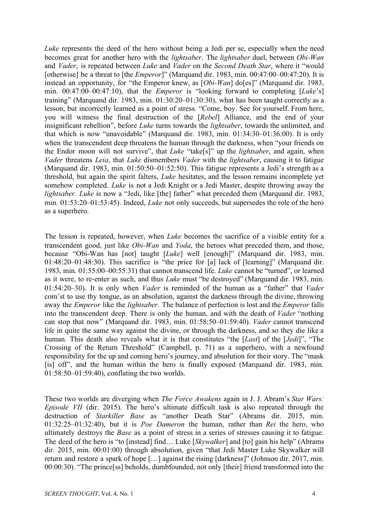*Luke* represents the deed of the hero without being a Jedi per se, especially when the need becomes great for another hero with the *lightsaber*. The *lightsaber* duel, between *Obi-Wan* and *Vader*, is repeated between *Luke* and *Vader* on the *Second Death Star*, where it "would [otherwise] be a threat to [the *Emperor*]" (Marquand dir. 1983, min. 00:47:00–00:47:20). It is instead an opportunity, for "the Emperor knew, as [*Obi-Wan*] do[es]" (Marquand dir. 1983, min. 00:47:00–00:47:10), that the *Emperor* is "looking forward to completing [*Luke*'s] training" (Marquand dir. 1983, min. 01:30:20–01:30:30), what has been taught correctly as a lesson, but incorrectly learned as a point of stress. "Come, boy. See for yourself. From here, you will witness the final destruction of the [*Rebel*] Alliance, and the end of your insignificant rebellion", before *Luke* turns towards the *lightsaber*, towards the unlimited, and that which is now "unavoidable" (Marquand dir. 1983, min. 01:34:30–01:36:00). It is only when the transcendent deep threatens the human through the darkness, when "your friends on the Endor moon will not survive", that *Luke* "take[s]" up the *lightsaber*, and again, when *Vader* threatens *Leia*, that *Luke* dismembers *Vader* with the *lightsaber*, causing it to fatigue (Marquand dir. 1983, min. 01:50:50–01:52:50). This fatigue represents a Jedi's strength as a threshold, but again the spirit falters, *Luke* hesitates, and the lesson remains incomplete yet somehow completed. *Luke* is not a Jedi Knight or a Jedi Master, despite throwing away the *lightsaber. Luke* is now a "Jedi, like [the] father" what preceded them (Marquand dir. 1983, min. 01:53:20–01:53:45). Indeed, *Luke* not only succeeds, but supersedes the role of the hero as a superhero.

The lesson is repeated, however, when *Luke* becomes the sacrifice of a visible entity for a transcendent good, just like *Obi-Wan* and *Yoda*, the heroes what preceded them, and those, because "Obi-Wan has [not] taught [*Luke*] well [enough]" (Marquand dir. 1983, min. 01:48:20–01:48:30). This sacrifice is "the price for [a] lack of [learning]" (Marquand dir. 1983, min. 01:55:00–00:55:31) that cannot transcend life. *Luke* cannot be "turned", or learned as it were, to re-enter as such, and thus *Luke* must "be destroyed" (Marquand dir. 1983, min. 01:54:20–30). It is only when *Vader* is reminded of the human as a "father" that *Vader* com'st to use thy tongue, as an absolution, against the darkness through the divine, throwing away the *Emperor* like the *lightsaber*. The balance of perfection is lost and the *Emperor* falls into the transcendent deep. There is only the human, and with the death of *Vader* "nothing can stop that now" (Marquand dir. 1983, min. 01:58:50–01:59:40). *Vader* cannot transcend life in quite the same way against the divine, or through the darkness, and so they die like a human. This death also reveals what it is that constitutes "the [*Last*] of the [*Jedi*]", "The Crossing of the Return Threshold" (Campbell, p. 71) as a superhero, with a newfound responsibility for the up and coming hero's journey, and absolution for their story. The "mask [is] off", and the human within the hero is finally exposed (Marquand dir. 1983, min. 01:58:50–01:59:40), conflating the two worlds.

These two worlds are diverging when *The Force Awakens* again in J. J. Abram's *Star Wars: Episode VII* (dir. 2015). The hero's ultimate difficult task is also repeated through the destruction of *Starkiller Base* as "another Death Star" (Abrams dir. 2015, min. 01:32:25–01:32:40), but it is *Poe Dameron* the human, rather than *Rei* the hero, who ultimately destroys the *Base* as a point of stress in a series of stresses causing it to fatigue. The deed of the hero is "to [instead] find… Luke [*Skywalker*] and [to] gain his help" (Abrams dir. 2015, min. 00:01:00) through absolution, given "that Jedi Master Luke Skywalker will return and restore a spark of hope […] against the rising [darkness]" (Johnson dir. 2017, min. 00:00:30). "The prince[ss] beholds, dumbfounded, not only [their] friend transformed into the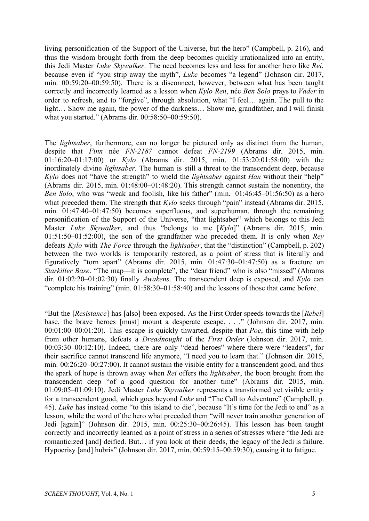living personification of the Support of the Universe, but the hero" (Campbell, p. 216), and thus the wisdom brought forth from the deep becomes quickly irrationalized into an entity, this Jedi Master *Luke Skywalker*. The need becomes less and less for another hero like *Rei*, because even if "you strip away the myth", *Luke* becomes "a legend" (Johnson dir. 2017, min. 00:59:20–00:59:50). There is a disconnect, however, between what has been taught correctly and incorrectly learned as a lesson when *Kylo Ren*, née *Ben Solo* prays to *Vader* in order to refresh, and to "forgive", through absolution, what "I feel… again. The pull to the light… Show me again, the power of the darkness… Show me, grandfather, and I will finish what you started." (Abrams dir. 00:58:50–00:59:50).

The *lightsaber*, furthermore, can no longer be pictured only as distinct from the human, despite that *Finn* née *FN-2187* cannot defeat *FN-2199* (Abrams dir. 2015, min. 01:16:20–01:17:00) or *Kylo* (Abrams dir. 2015, min. 01:53:20:01:58:00) with the inordinately divine *lightsaber*. The human is still a threat to the transcendent deep, because *Kylo* does not "have the strength" to wield the *lightsaber* against *Han* without their "help" (Abrams dir. 2015, min. 01:48:00–01:48:20). This strength cannot sustain the nonentity, the *Ben Solo*, who was "weak and foolish, like his father" (min. 01:46:45–01:56:50) as a hero what preceded them. The strength that *Kylo* seeks through "pain" instead (Abrams dir. 2015, min. 01:47:40–01:47:50) becomes superfluous, and superhuman, through the remaining personification of the Support of the Universe, "that lightsaber" which belongs to this Jedi Master *Luke Skywalker*, and thus "belongs to me [*Kylo*]" (Abrams dir. 2015, min. 01:51:50–01:52:00), the son of the grandfather who preceded them. It is only when *Rey* defeats *Kylo* with *The Force* through the *lightsaber*, that the "distinction" (Campbell, p. 202) between the two worlds is temporarily restored, as a point of stress that is literally and figuratively "torn apart" (Abrams dir. 2015, min. 01:47:30–01:47:50) as a fracture on *Starkiller Base*. "The map—it is complete", the "dear friend" who is also "missed" (Abrams dir. 01:02:20–01:02:30) finally *Awakens*. The transcendent deep is exposed, and *Kylo* can "complete his training" (min. 01:58:30–01:58:40) and the lessons of those that came before.

"But the [*Resistance*] has [also] been exposed. As the First Order speeds towards the [*Rebel*] base, the brave heroes [must] mount a desperate escape. . . ." (Johnson dir. 2017, min. 00:01:00–00:01:20). This escape is quickly thwarted, despite that *Poe*, this time with help from other humans, defeats a *Dreadnought* of the *First Order* (Johnson dir. 2017, min. 00:03:30–00:12:10). Indeed, there are only "dead heroes" where there were "leaders", for their sacrifice cannot transcend life anymore, "I need you to learn that." (Johnson dir. 2015, min. 00:26:20–00:27:00). It cannot sustain the visible entity for a transcendent good, and thus the spark of hope is thrown away when *Rei* offers the *lightsaber*, the boon brought from the transcendent deep "of a good question for another time" (Abrams dir. 2015, min. 01:09:05–01:09:10). Jedi Master *Luke Skywalker* represents a transformed yet visible entity for a transcendent good, which goes beyond *Luke* and "The Call to Adventure" (Campbell, p. 45). *Luke* has instead come "to this island to die", because "It's time for the Jedi to end" as a lesson, while the word of the hero what preceded them "will never train another generation of Jedi [again]" (Johnson dir. 2015, min. 00:25:30–00:26:45). This lesson has been taught correctly and incorrectly learned as a point of stress in a series of stresses where "the Jedi are romanticized [and] deified. But… if you look at their deeds, the legacy of the Jedi is failure. Hypocrisy [and] hubris" (Johnson dir. 2017, min. 00:59:15–00:59:30), causing it to fatigue.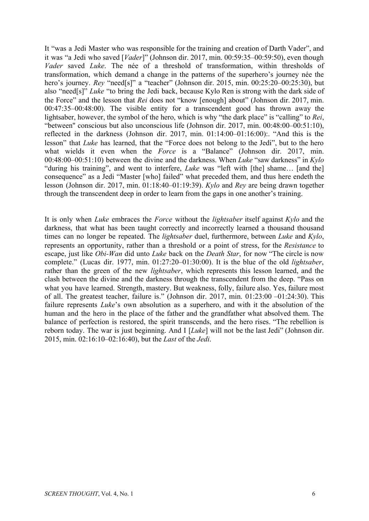It "was a Jedi Master who was responsible for the training and creation of Darth Vader", and it was "a Jedi who saved [*Vader*]" (Johnson dir. 2017, min. 00:59:35–00:59:50), even though *Vader* saved *Luke*. The née of a threshold of transformation, within thresholds of transformation, which demand a change in the patterns of the superhero's journey née the hero's journey. *Rey* "need[s]" a "teacher" (Johnson dir. 2015, min. 00:25:20–00:25:30), but also "need[s]" *Luke* "to bring the Jedi back, because Kylo Ren is strong with the dark side of the Force" and the lesson that *Rei* does not "know [enough] about" (Johnson dir. 2017, min. 00:47:35–00:48:00). The visible entity for a transcendent good has thrown away the lightsaber, however, the symbol of the hero, which is why "the dark place" is "calling" to *Rei*, "between'' conscious but also unconscious life (Johnson dir. 2017, min. 00:48:00–00:51:10), reflected in the darkness (Johnson dir. 2017, min. 01:14:00–01:16:00):. "And this is the lesson" that *Luke* has learned, that the "Force does not belong to the Jedi", but to the hero what wields it even when the *Force* is a "Balance" (Johnson dir. 2017, min. 00:48:00–00:51:10) between the divine and the darkness. When *Luke* "saw darkness" in *Kylo* "during his training", and went to interfere, *Luke* was "left with [the] shame… [and the] consequence" as a Jedi "Master [who] failed" what preceded them, and thus here endeth the lesson (Johnson dir. 2017, min. 01:18:40–01:19:39). *Kylo* and *Rey* are being drawn together through the transcendent deep in order to learn from the gaps in one another's training.

It is only when *Luke* embraces the *Force* without the *lightsaber* itself against *Kylo* and the darkness, that what has been taught correctly and incorrectly learned a thousand thousand times can no longer be repeated. The *lightsaber* duel, furthermore, between *Luke* and *Kylo*, represents an opportunity, rather than a threshold or a point of stress, for the *Resistance* to escape, just like *Obi-Wan* did unto *Luke* back on the *Death Star*, for now "The circle is now complete." (Lucas dir. 1977, min. 01:27:20–01:30:00). It is the blue of the old *lightsaber*, rather than the green of the new *lightsaber*, which represents this lesson learned, and the clash between the divine and the darkness through the transcendent from the deep. "Pass on what you have learned. Strength, mastery. But weakness, folly, failure also. Yes, failure most of all. The greatest teacher, failure is." (Johnson dir. 2017, min. 01:23:00 –01:24:30). This failure represents *Luke*'s own absolution as a superhero, and with it the absolution of the human and the hero in the place of the father and the grandfather what absolved them. The balance of perfection is restored, the spirit transcends, and the hero rises. "The rebellion is reborn today. The war is just beginning. And I [*Luke*] will not be the last Jedi" (Johnson dir. 2015, min. 02:16:10–02:16:40), but the *Last* of the *Jedi*.